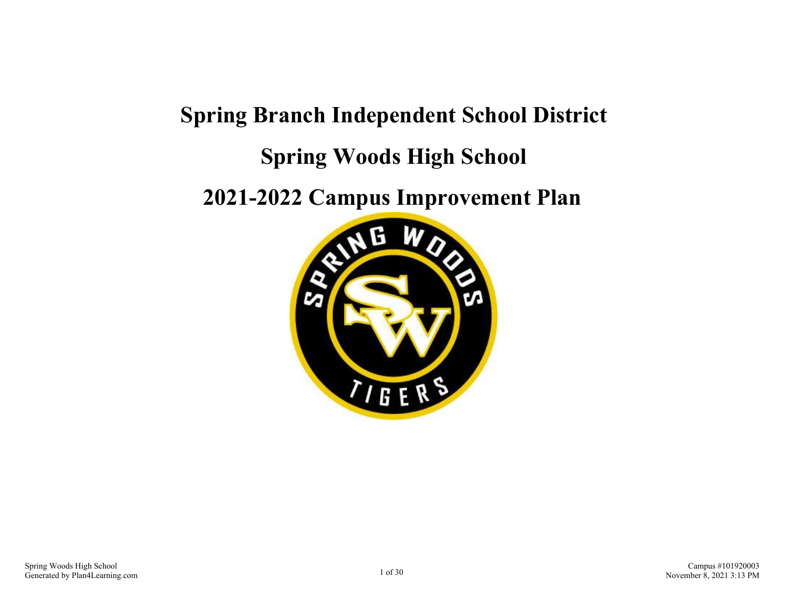# **Spring Branch Independent School District Spring Woods High School**

**2021-2022 Campus Improvement Plan**

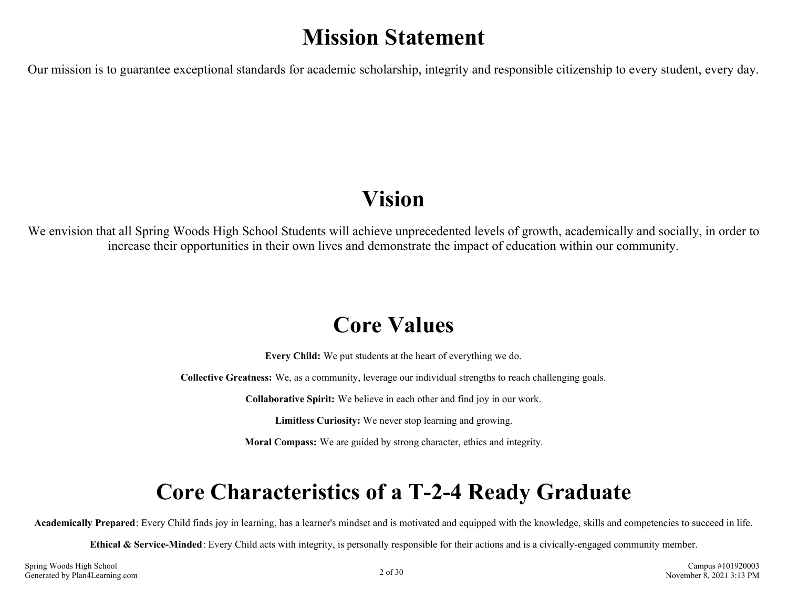# **Mission Statement**

Our mission is to guarantee exceptional standards for academic scholarship, integrity and responsible citizenship to every student, every day.

# **Vision**

We envision that all Spring Woods High School Students will achieve unprecedented levels of growth, academically and socially, in order to increase their opportunities in their own lives and demonstrate the impact of education within our community.

# **Core Values**

**Every Child:** We put students at the heart of everything we do.

**Collective Greatness:** We, as a community, leverage our individual strengths to reach challenging goals.

**Collaborative Spirit:** We believe in each other and find joy in our work.

**Limitless Curiosity:** We never stop learning and growing.

**Moral Compass:** We are guided by strong character, ethics and integrity.

# **Core Characteristics of a T-2-4 Ready Graduate**

**Academically Prepared**: Every Child finds joy in learning, has a learner's mindset and is motivated and equipped with the knowledge, skills and competencies to succeed in life.

**Ethical & Service-Minded**: Every Child acts with integrity, is personally responsible for their actions and is a civically-engaged community member.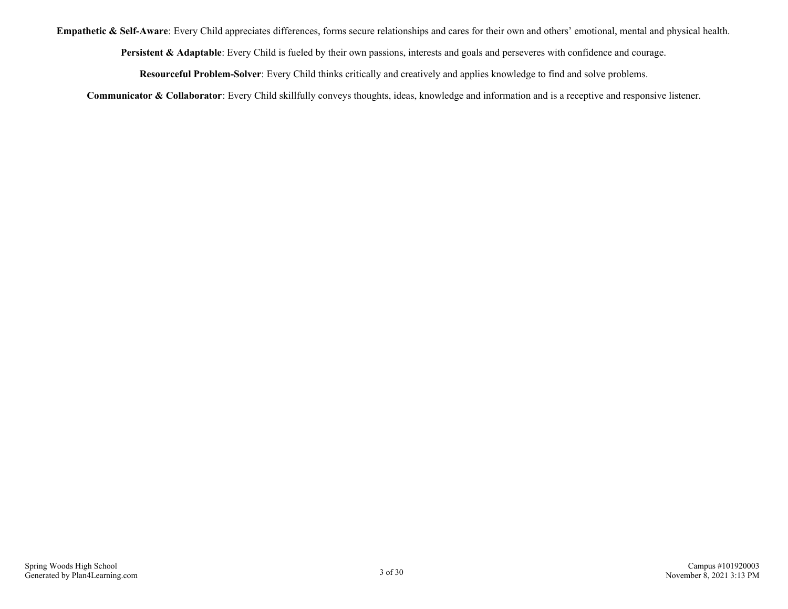**Empathetic & Self-Aware**: Every Child appreciates differences, forms secure relationships and cares for their own and others' emotional, mental and physical health.

**Persistent & Adaptable**: Every Child is fueled by their own passions, interests and goals and perseveres with confidence and courage.

**Resourceful Problem-Solver**: Every Child thinks critically and creatively and applies knowledge to find and solve problems.

**Communicator & Collaborator**: Every Child skillfully conveys thoughts, ideas, knowledge and information and is a receptive and responsive listener.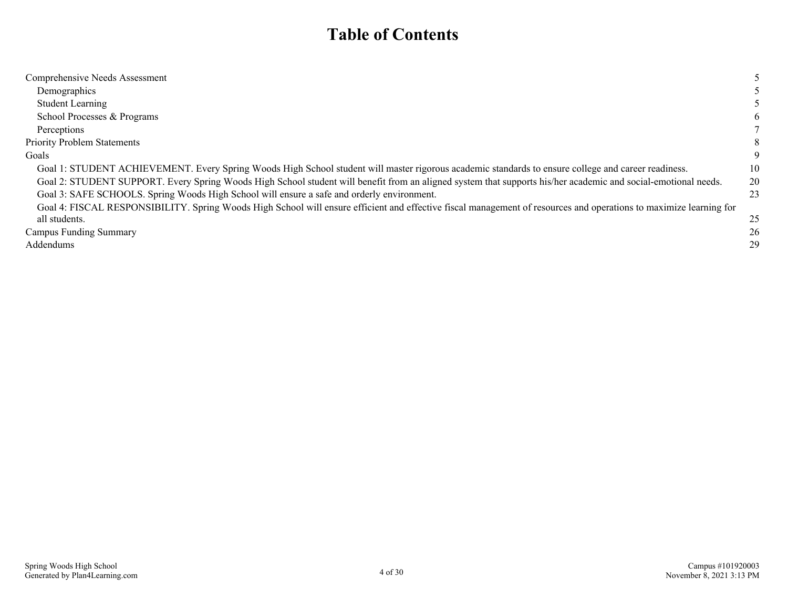# **Table of Contents**

| Comprehensive Needs Assessment                                                                                                                                     |    |
|--------------------------------------------------------------------------------------------------------------------------------------------------------------------|----|
| Demographics                                                                                                                                                       |    |
| <b>Student Learning</b>                                                                                                                                            |    |
| School Processes & Programs                                                                                                                                        | 6  |
| Perceptions                                                                                                                                                        |    |
| <b>Priority Problem Statements</b>                                                                                                                                 |    |
| Goals                                                                                                                                                              | 9  |
| Goal 1: STUDENT ACHIEVEMENT. Every Spring Woods High School student will master rigorous academic standards to ensure college and career readiness.                | 10 |
| Goal 2: STUDENT SUPPORT. Every Spring Woods High School student will benefit from an aligned system that supports his/her academic and social-emotional needs.     | 20 |
| Goal 3: SAFE SCHOOLS. Spring Woods High School will ensure a safe and orderly environment.                                                                         | 23 |
| Goal 4: FISCAL RESPONSIBILITY. Spring Woods High School will ensure efficient and effective fiscal management of resources and operations to maximize learning for |    |
| all students.                                                                                                                                                      | 25 |
| Campus Funding Summary                                                                                                                                             | 26 |
| Addendums                                                                                                                                                          | 29 |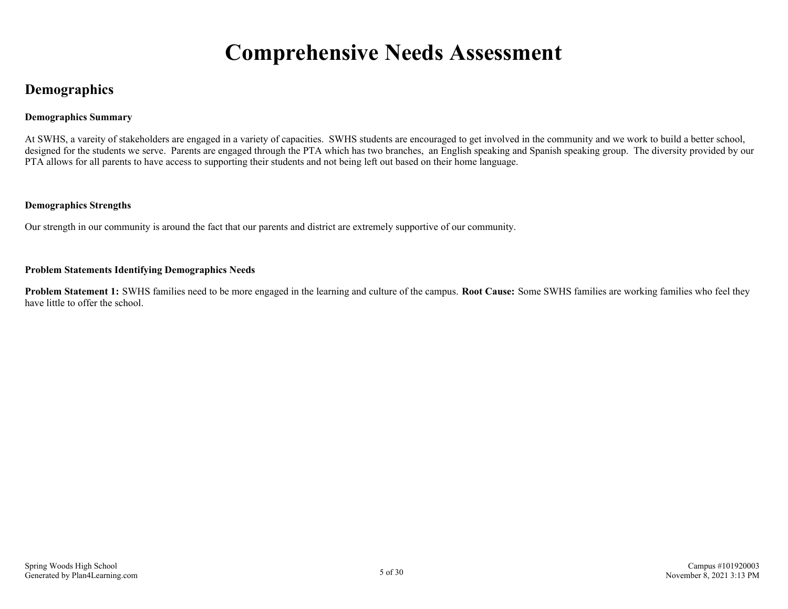# **Comprehensive Needs Assessment**

# <span id="page-4-0"></span>**Demographics**

### **Demographics Summary**

At SWHS, a vareity of stakeholders are engaged in a variety of capacities. SWHS students are encouraged to get involved in the community and we work to build a better school, designed for the students we serve. Parents are engaged through the PTA which has two branches, an English speaking and Spanish speaking group. The diversity provided by our PTA allows for all parents to have access to supporting their students and not being left out based on their home language.

### **Demographics Strengths**

Our strength in our community is around the fact that our parents and district are extremely supportive of our community.

### **Problem Statements Identifying Demographics Needs**

**Problem Statement 1:** SWHS families need to be more engaged in the learning and culture of the campus. **Root Cause:** Some SWHS families are working families who feel they have little to offer the school.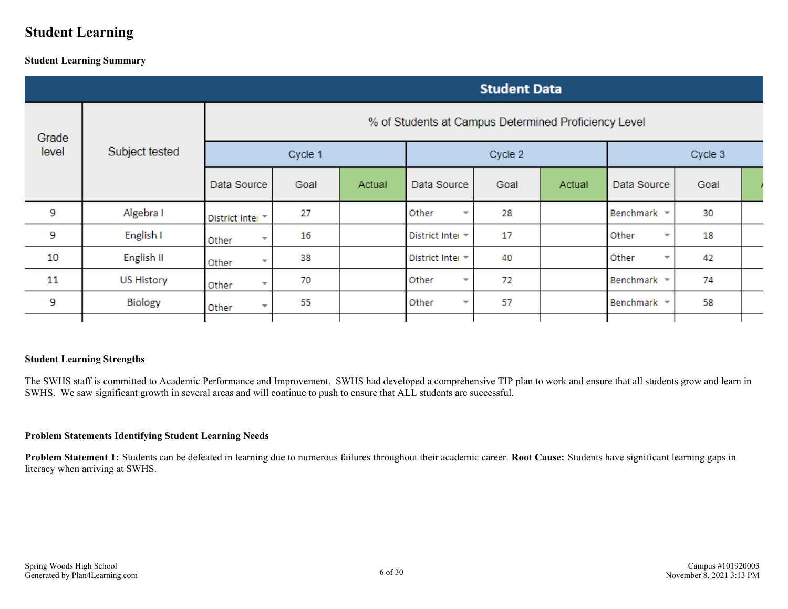# <span id="page-5-0"></span>**Student Learning**

### **Student Learning Summary**

|       | <b>Student Data</b> |                                                      |         |        |                                   |         |        |                                   |      |  |
|-------|---------------------|------------------------------------------------------|---------|--------|-----------------------------------|---------|--------|-----------------------------------|------|--|
| Grade |                     | % of Students at Campus Determined Proficiency Level |         |        |                                   |         |        |                                   |      |  |
| level | Subject tested      |                                                      | Cycle 1 |        |                                   | Cycle 2 |        | Cycle 3                           |      |  |
|       |                     | Data Source                                          | Goal    | Actual | Data Source                       | Goal    | Actual | Data Source                       | Goal |  |
| 9     | Algebra I           | District Inter                                       | 27      |        | Other<br>$\overline{\mathbf{v}}$  | 28      |        | Benchmark =                       | 30   |  |
| 9     | English I           | Other<br>$\overline{\phantom{a}}$                    | 16      |        | District Inter =                  | 17      |        | Other<br>$\overline{\phantom{a}}$ | 18   |  |
| 10    | English II          | Other<br>$\overline{\phantom{a}}$                    | 38      |        | District Inter =                  | 40      |        | Other<br>$\overline{\phantom{a}}$ | 42   |  |
| 11    | <b>US History</b>   | Other                                                | 70      |        | Other<br>$\overline{\phantom{a}}$ | 72      |        | Benchmark =                       | 74   |  |
| 9     | Biology             | Other<br>÷                                           | 55      |        | Other<br>$\overline{\mathbf{v}}$  | 57      |        | Benchmark =                       | 58   |  |
|       |                     |                                                      |         |        |                                   |         |        |                                   |      |  |

### **Student Learning Strengths**

The SWHS staff is committed to Academic Performance and Improvement. SWHS had developed a comprehensive TIP plan to work and ensure that all students grow and learn in SWHS. We saw significant growth in several areas and will continue to push to ensure that ALL students are successful.

### **Problem Statements Identifying Student Learning Needs**

**Problem Statement 1:** Students can be defeated in learning due to numerous failures throughout their academic career. **Root Cause:** Students have significant learning gaps in literacy when arriving at SWHS.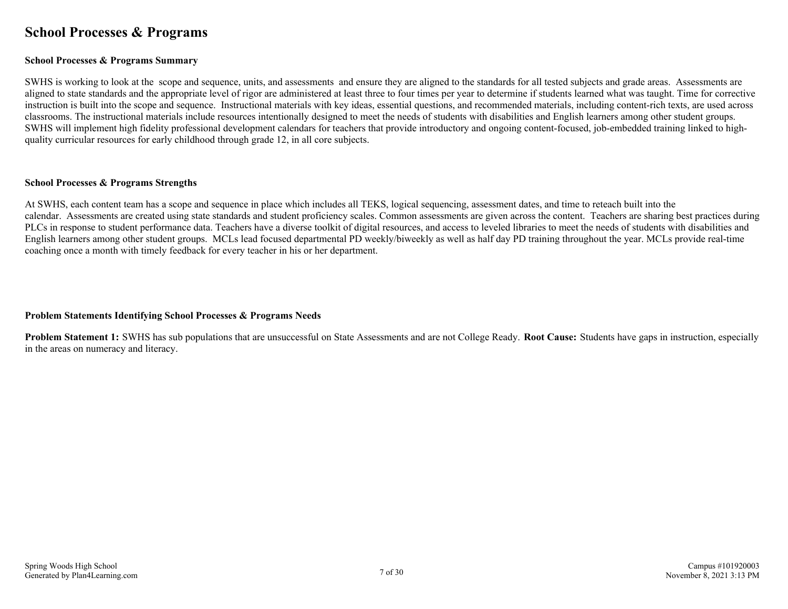# <span id="page-6-0"></span>**School Processes & Programs**

### **School Processes & Programs Summary**

SWHS is working to look at the scope and sequence, units, and assessments and ensure they are aligned to the standards for all tested subjects and grade areas. Assessments are aligned to state standards and the appropriate level of rigor are administered at least three to four times per year to determine if students learned what was taught. Time for corrective instruction is built into the scope and sequence. Instructional materials with key ideas, essential questions, and recommended materials, including content-rich texts, are used across classrooms. The instructional materials include resources intentionally designed to meet the needs of students with disabilities and English learners among other student groups. SWHS will implement high fidelity professional development calendars for teachers that provide introductory and ongoing content-focused, job-embedded training linked to highquality curricular resources for early childhood through grade 12, in all core subjects.

#### **School Processes & Programs Strengths**

At SWHS, each content team has a scope and sequence in place which includes all TEKS, logical sequencing, assessment dates, and time to reteach built into the calendar. Assessments are created using state standards and student proficiency scales. Common assessments are given across the content. Teachers are sharing best practices during PLCs in response to student performance data. Teachers have a diverse toolkit of digital resources, and access to leveled libraries to meet the needs of students with disabilities and English learners among other student groups. MCLs lead focused departmental PD weekly/biweekly as well as half day PD training throughout the year. MCLs provide real-time coaching once a month with timely feedback for every teacher in his or her department.

### **Problem Statements Identifying School Processes & Programs Needs**

**Problem Statement 1:** SWHS has sub populations that are unsuccessful on State Assessments and are not College Ready. **Root Cause:** Students have gaps in instruction, especially in the areas on numeracy and literacy.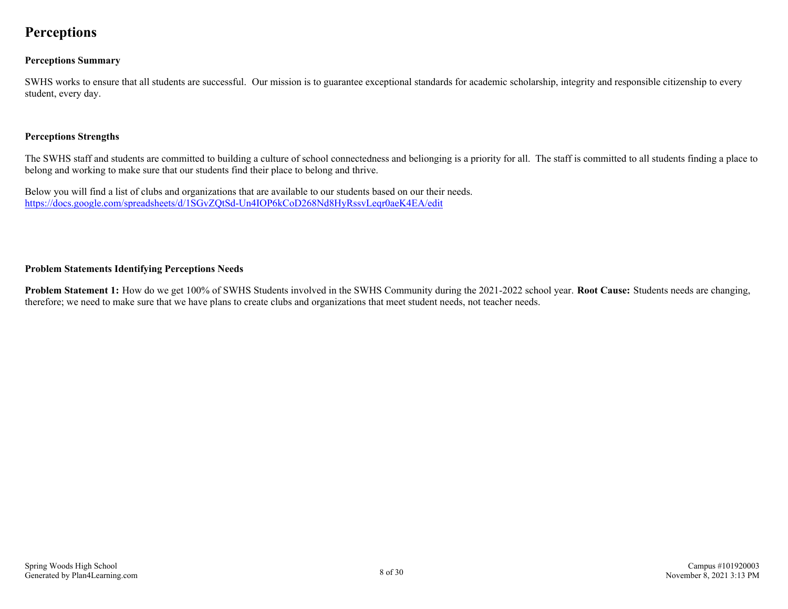# <span id="page-7-0"></span>**Perceptions**

### **Perceptions Summary**

SWHS works to ensure that all students are successful. Our mission is to guarantee exceptional standards for academic scholarship, integrity and responsible citizenship to every student, every day.

### **Perceptions Strengths**

The SWHS staff and students are committed to building a culture of school connectedness and belionging is a priority for all. The staff is committed to all students finding a place to belong and working to make sure that our students find their place to belong and thrive.

Below you will find a list of clubs and organizations that are available to our students based on our their needs. <https://docs.google.com/spreadsheets/d/1SGvZQtSd-Un4IOP6kCoD268Nd8HyRssvLeqr0aeK4EA/edit>

### **Problem Statements Identifying Perceptions Needs**

**Problem Statement 1:** How do we get 100% of SWHS Students involved in the SWHS Community during the 2021-2022 school year. **Root Cause:** Students needs are changing, therefore; we need to make sure that we have plans to create clubs and organizations that meet student needs, not teacher needs.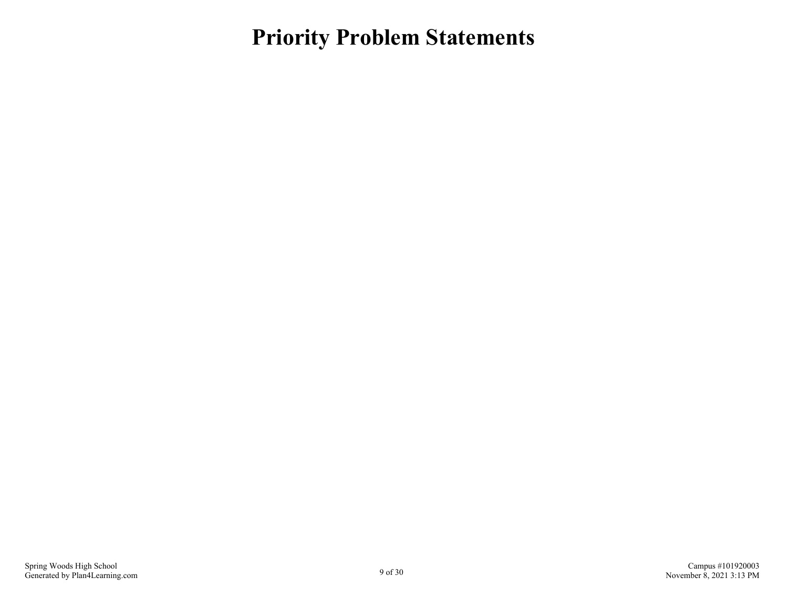<span id="page-8-0"></span>**Priority Problem Statements**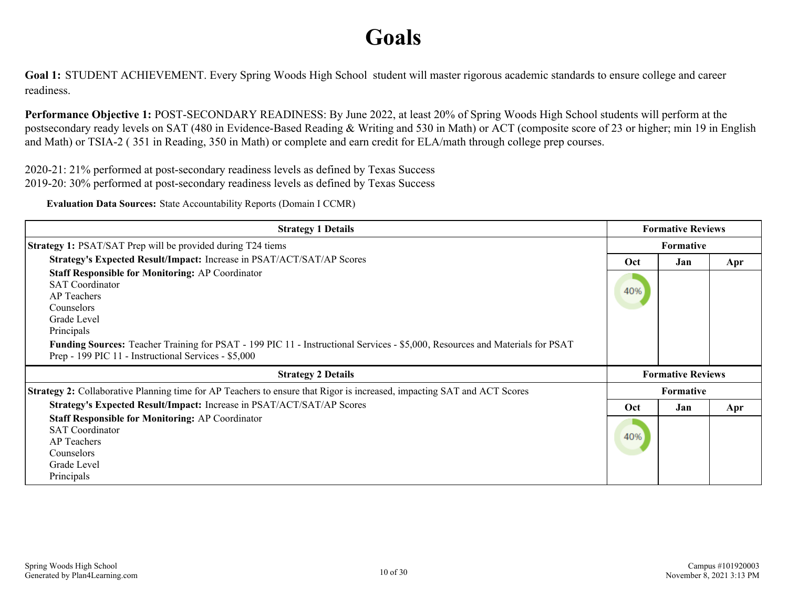# **Goals**

<span id="page-9-0"></span>**Goal 1:** STUDENT ACHIEVEMENT. Every Spring Woods High School student will master rigorous academic standards to ensure college and career readiness.

**Performance Objective 1:** POST-SECONDARY READINESS: By June 2022, at least 20% of Spring Woods High School students will perform at the postsecondary ready levels on SAT (480 in Evidence-Based Reading & Writing and 530 in Math) or ACT (composite score of 23 or higher; min 19 in English and Math) or TSIA-2 ( 351 in Reading, 350 in Math) or complete and earn credit for ELA/math through college prep courses.

2020-21: 21% performed at post-secondary readiness levels as defined by Texas Success 2019-20: 30% performed at post-secondary readiness levels as defined by Texas Success

**Evaluation Data Sources:** State Accountability Reports (Domain I CCMR)

| <b>Strategy 1 Details</b>                                                                                                                                                                                                                                                                                                                         | <b>Formative Reviews</b> |                          |     |
|---------------------------------------------------------------------------------------------------------------------------------------------------------------------------------------------------------------------------------------------------------------------------------------------------------------------------------------------------|--------------------------|--------------------------|-----|
| Strategy 1: PSAT/SAT Prep will be provided during T24 tiems                                                                                                                                                                                                                                                                                       |                          | <b>Formative</b>         |     |
| Strategy's Expected Result/Impact: Increase in PSAT/ACT/SAT/AP Scores                                                                                                                                                                                                                                                                             | Oct                      | Jan                      | Apr |
| <b>Staff Responsible for Monitoring: AP Coordinator</b><br><b>SAT Coordinator</b><br><b>AP</b> Teachers<br><b>Counselors</b><br>Grade Level<br>Principals<br>Funding Sources: Teacher Training for PSAT - 199 PIC 11 - Instructional Services - \$5,000, Resources and Materials for PSAT<br>Prep - 199 PIC 11 - Instructional Services - \$5,000 | 40%                      |                          |     |
| <b>Strategy 2 Details</b>                                                                                                                                                                                                                                                                                                                         |                          | <b>Formative Reviews</b> |     |
| Strategy 2: Collaborative Planning time for AP Teachers to ensure that Rigor is increased, impacting SAT and ACT Scores                                                                                                                                                                                                                           |                          | <b>Formative</b>         |     |
| Strategy's Expected Result/Impact: Increase in PSAT/ACT/SAT/AP Scores                                                                                                                                                                                                                                                                             | Oct                      | Jan                      | Apr |
| <b>Staff Responsible for Monitoring: AP Coordinator</b><br><b>SAT Coordinator</b><br><b>AP</b> Teachers<br>Counselors<br>Grade Level<br>Principals                                                                                                                                                                                                | 40%                      |                          |     |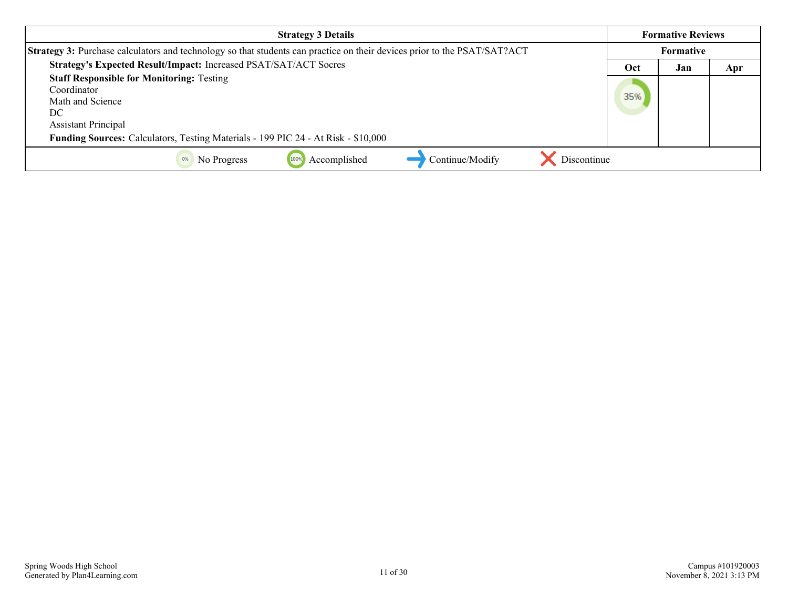| <b>Strategy 3 Details</b>                                                                                                | <b>Formative Reviews</b> |     |     |
|--------------------------------------------------------------------------------------------------------------------------|--------------------------|-----|-----|
| Strategy 3: Purchase calculators and technology so that students can practice on their devices prior to the PSAT/SAT?ACT | Formative                |     |     |
| Strategy's Expected Result/Impact: Increased PSAT/SAT/ACT Socres                                                         | Oct                      | Jan | Apr |
| <b>Staff Responsible for Monitoring: Testing</b><br>Coordinator<br>Math and Science<br>DC<br><b>Assistant Principal</b>  | 35%                      |     |     |
| Funding Sources: Calculators, Testing Materials - 199 PIC 24 - At Risk - \$10,000                                        |                          |     |     |
| Continue/Modify<br>Accomplished<br>Discontinue<br>0%<br>No Progress<br>100%                                              |                          |     |     |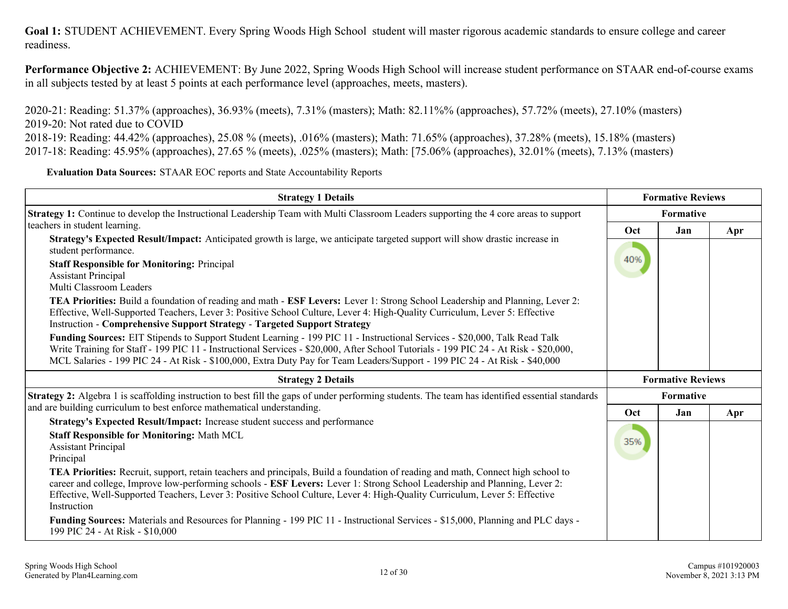**Performance Objective 2:** ACHIEVEMENT: By June 2022, Spring Woods High School will increase student performance on STAAR end-of-course exams in all subjects tested by at least 5 points at each performance level (approaches, meets, masters).

2020-21: Reading: 51.37% (approaches), 36.93% (meets), 7.31% (masters); Math: 82.11%% (approaches), 57.72% (meets), 27.10% (masters) 2019-20: Not rated due to COVID

2018-19: Reading: 44.42% (approaches), 25.08 % (meets), .016% (masters); Math: 71.65% (approaches), 37.28% (meets), 15.18% (masters) 2017-18: Reading: 45.95% (approaches), 27.65 % (meets), .025% (masters); Math: [75.06% (approaches), 32.01% (meets), 7.13% (masters)

**Evaluation Data Sources:** STAAR EOC reports and State Accountability Reports

| <b>Strategy 1 Details</b>                                                                                                                                                                                                                                                                                                                                                                                                                                                                                                                                                                                                                                                                                                                                                                                                                                                                                                                                                                                                                                                | <b>Formative Reviews</b> |                          |     |
|--------------------------------------------------------------------------------------------------------------------------------------------------------------------------------------------------------------------------------------------------------------------------------------------------------------------------------------------------------------------------------------------------------------------------------------------------------------------------------------------------------------------------------------------------------------------------------------------------------------------------------------------------------------------------------------------------------------------------------------------------------------------------------------------------------------------------------------------------------------------------------------------------------------------------------------------------------------------------------------------------------------------------------------------------------------------------|--------------------------|--------------------------|-----|
| Strategy 1: Continue to develop the Instructional Leadership Team with Multi Classroom Leaders supporting the 4 core areas to support                                                                                                                                                                                                                                                                                                                                                                                                                                                                                                                                                                                                                                                                                                                                                                                                                                                                                                                                    |                          | Formative                |     |
| teachers in student learning.<br>Strategy's Expected Result/Impact: Anticipated growth is large, we anticipate targeted support will show drastic increase in<br>student performance.<br><b>Staff Responsible for Monitoring: Principal</b><br><b>Assistant Principal</b><br>Multi Classroom Leaders<br><b>TEA Priorities:</b> Build a foundation of reading and math - <b>ESF Levers:</b> Lever 1: Strong School Leadership and Planning, Lever 2:<br>Effective, Well-Supported Teachers, Lever 3: Positive School Culture, Lever 4: High-Quality Curriculum, Lever 5: Effective<br><b>Instruction - Comprehensive Support Strategy - Targeted Support Strategy</b><br>Funding Sources: EIT Stipends to Support Student Learning - 199 PIC 11 - Instructional Services - \$20,000, Talk Read Talk<br>Write Training for Staff - 199 PIC 11 - Instructional Services - \$20,000, After School Tutorials - 199 PIC 24 - At Risk - \$20,000,<br>MCL Salaries - 199 PIC 24 - At Risk - \$100,000, Extra Duty Pay for Team Leaders/Support - 199 PIC 24 - At Risk - \$40,000 | Oct<br>40%               | Jan                      | Apr |
| <b>Strategy 2 Details</b>                                                                                                                                                                                                                                                                                                                                                                                                                                                                                                                                                                                                                                                                                                                                                                                                                                                                                                                                                                                                                                                |                          | <b>Formative Reviews</b> |     |
| Strategy 2: Algebra 1 is scaffolding instruction to best fill the gaps of under performing students. The team has identified essential standards                                                                                                                                                                                                                                                                                                                                                                                                                                                                                                                                                                                                                                                                                                                                                                                                                                                                                                                         |                          | Formative                |     |
| and are building curriculum to best enforce mathematical understanding.<br>Strategy's Expected Result/Impact: Increase student success and performance                                                                                                                                                                                                                                                                                                                                                                                                                                                                                                                                                                                                                                                                                                                                                                                                                                                                                                                   | Oct                      | Jan                      | Apr |
| <b>Staff Responsible for Monitoring: Math MCL</b><br><b>Assistant Principal</b><br>Principal                                                                                                                                                                                                                                                                                                                                                                                                                                                                                                                                                                                                                                                                                                                                                                                                                                                                                                                                                                             | 35%                      |                          |     |
| <b>TEA Priorities:</b> Recruit, support, retain teachers and principals, Build a foundation of reading and math, Connect high school to<br>career and college, Improve low-performing schools - ESF Levers: Lever 1: Strong School Leadership and Planning, Lever 2:<br>Effective, Well-Supported Teachers, Lever 3: Positive School Culture, Lever 4: High-Quality Curriculum, Lever 5: Effective<br>Instruction                                                                                                                                                                                                                                                                                                                                                                                                                                                                                                                                                                                                                                                        |                          |                          |     |
| Funding Sources: Materials and Resources for Planning - 199 PIC 11 - Instructional Services - \$15,000, Planning and PLC days -<br>199 PIC 24 - At Risk - \$10,000                                                                                                                                                                                                                                                                                                                                                                                                                                                                                                                                                                                                                                                                                                                                                                                                                                                                                                       |                          |                          |     |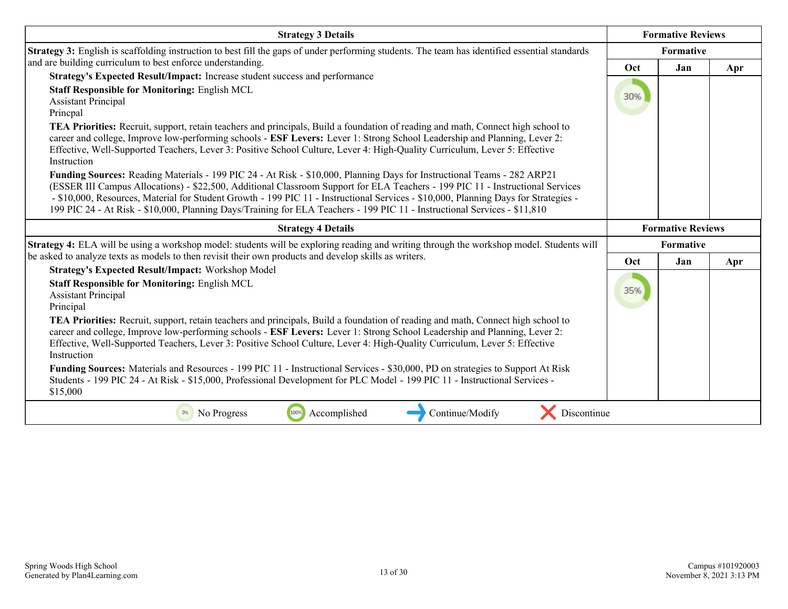| <b>Strategy 3 Details</b>                                                                                                                                                                                                                                                                                                                                                                                                                                                                                                     |            | <b>Formative Reviews</b> |     |
|-------------------------------------------------------------------------------------------------------------------------------------------------------------------------------------------------------------------------------------------------------------------------------------------------------------------------------------------------------------------------------------------------------------------------------------------------------------------------------------------------------------------------------|------------|--------------------------|-----|
| Strategy 3: English is scaffolding instruction to best fill the gaps of under performing students. The team has identified essential standards                                                                                                                                                                                                                                                                                                                                                                                |            | <b>Formative</b>         |     |
| and are building curriculum to best enforce understanding.<br>Strategy's Expected Result/Impact: Increase student success and performance                                                                                                                                                                                                                                                                                                                                                                                     | <b>Oct</b> | Jan                      | Apr |
| <b>Staff Responsible for Monitoring: English MCL</b><br><b>Assistant Principal</b><br>Princpal                                                                                                                                                                                                                                                                                                                                                                                                                                | 30%        |                          |     |
| TEA Priorities: Recruit, support, retain teachers and principals, Build a foundation of reading and math, Connect high school to<br>career and college, Improve low-performing schools - ESF Levers: Lever 1: Strong School Leadership and Planning, Lever 2:<br>Effective, Well-Supported Teachers, Lever 3: Positive School Culture, Lever 4: High-Quality Curriculum, Lever 5: Effective<br>Instruction                                                                                                                    |            |                          |     |
| Funding Sources: Reading Materials - 199 PIC 24 - At Risk - \$10,000, Planning Days for Instructional Teams - 282 ARP21<br>(ESSER III Campus Allocations) - \$22,500, Additional Classroom Support for ELA Teachers - 199 PIC 11 - Instructional Services<br>- \$10,000, Resources, Material for Student Growth - 199 PIC 11 - Instructional Services - \$10,000, Planning Days for Strategies -<br>199 PIC 24 - At Risk - \$10,000, Planning Days/Training for ELA Teachers - 199 PIC 11 - Instructional Services - \$11,810 |            |                          |     |
| <b>Strategy 4 Details</b>                                                                                                                                                                                                                                                                                                                                                                                                                                                                                                     |            | <b>Formative Reviews</b> |     |
| Strategy 4: ELA will be using a workshop model: students will be exploring reading and writing through the workshop model. Students will                                                                                                                                                                                                                                                                                                                                                                                      | Formative  |                          |     |
| be asked to analyze texts as models to then revisit their own products and develop skills as writers.                                                                                                                                                                                                                                                                                                                                                                                                                         | Oct        | Jan                      | Apr |
| <b>Strategy's Expected Result/Impact: Workshop Model</b><br><b>Staff Responsible for Monitoring: English MCL</b><br><b>Assistant Principal</b><br>Principal                                                                                                                                                                                                                                                                                                                                                                   | 35%        |                          |     |
| TEA Priorities: Recruit, support, retain teachers and principals, Build a foundation of reading and math, Connect high school to<br>career and college, Improve low-performing schools - ESF Levers: Lever 1: Strong School Leadership and Planning, Lever 2:<br>Effective, Well-Supported Teachers, Lever 3: Positive School Culture, Lever 4: High-Quality Curriculum, Lever 5: Effective<br>Instruction                                                                                                                    |            |                          |     |
| Funding Sources: Materials and Resources - 199 PIC 11 - Instructional Services - \$30,000, PD on strategies to Support At Risk<br>Students - 199 PIC 24 - At Risk - \$15,000, Professional Development for PLC Model - 199 PIC 11 - Instructional Services -<br>\$15,000                                                                                                                                                                                                                                                      |            |                          |     |
| Continue/Modify<br>100%<br>Accomplished<br>Discontinue<br>0%<br>No Progress                                                                                                                                                                                                                                                                                                                                                                                                                                                   |            |                          |     |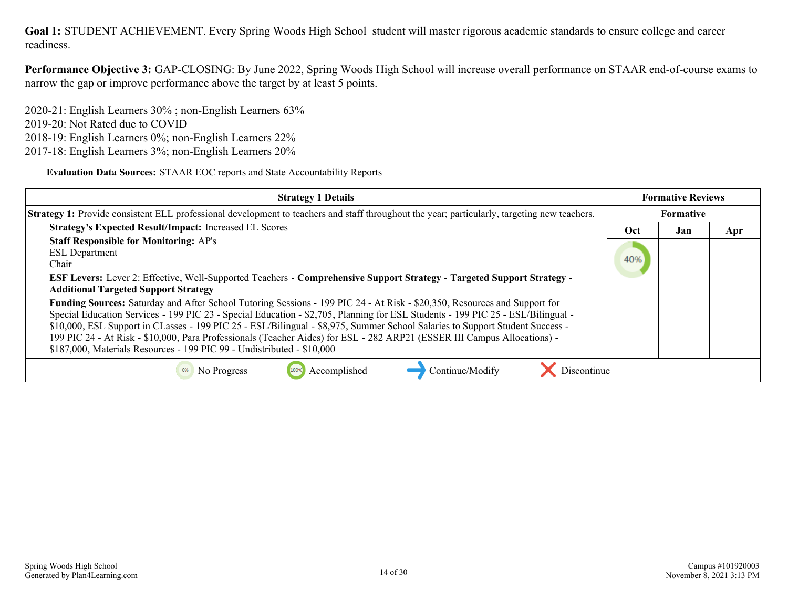**Performance Objective 3:** GAP-CLOSING: By June 2022, Spring Woods High School will increase overall performance on STAAR end-of-course exams to narrow the gap or improve performance above the target by at least 5 points.

2020-21: English Learners 30% ; non-English Learners 63% 2019-20: Not Rated due to COVID 2018-19: English Learners 0%; non-English Learners 22% 2017-18: English Learners 3%; non-English Learners 20%

**Evaluation Data Sources:** STAAR EOC reports and State Accountability Reports

| <b>Strategy 1 Details</b>                                                                                                                                                                                                                                                                                                                                                                                                                                                                                                                                                                          |     | <b>Formative Reviews</b> |     |
|----------------------------------------------------------------------------------------------------------------------------------------------------------------------------------------------------------------------------------------------------------------------------------------------------------------------------------------------------------------------------------------------------------------------------------------------------------------------------------------------------------------------------------------------------------------------------------------------------|-----|--------------------------|-----|
| <b>Strategy 1:</b> Provide consistent ELL professional development to teachers and staff throughout the year; particularly, targeting new teachers.                                                                                                                                                                                                                                                                                                                                                                                                                                                |     | <b>Formative</b>         |     |
| <b>Strategy's Expected Result/Impact: Increased EL Scores</b>                                                                                                                                                                                                                                                                                                                                                                                                                                                                                                                                      | Oct | Jan                      | Apr |
| <b>Staff Responsible for Monitoring: AP's</b><br><b>ESL</b> Department<br>Chair<br><b>ESF Levers:</b> Lever 2: Effective, Well-Supported Teachers - Comprehensive Support Strategy - Targeted Support Strategy -<br><b>Additional Targeted Support Strategy</b>                                                                                                                                                                                                                                                                                                                                    | 40% |                          |     |
| Funding Sources: Saturday and After School Tutoring Sessions - 199 PIC 24 - At Risk - \$20,350, Resources and Support for<br>Special Education Services - 199 PIC 23 - Special Education - \$2,705, Planning for ESL Students - 199 PIC 25 - ESL/Bilingual -<br>\$10,000, ESL Support in CLasses - 199 PIC 25 - ESL/Bilingual - \$8,975, Summer School Salaries to Support Student Success -<br>199 PIC 24 - At Risk - \$10,000, Para Professionals (Teacher Aides) for ESL - 282 ARP21 (ESSER III Campus Allocations) -<br>\$187,000, Materials Resources - 199 PIC 99 - Undistributed - \$10,000 |     |                          |     |
| Accomplished<br>Continue/Modify<br>No Progress<br>Discontinue                                                                                                                                                                                                                                                                                                                                                                                                                                                                                                                                      |     |                          |     |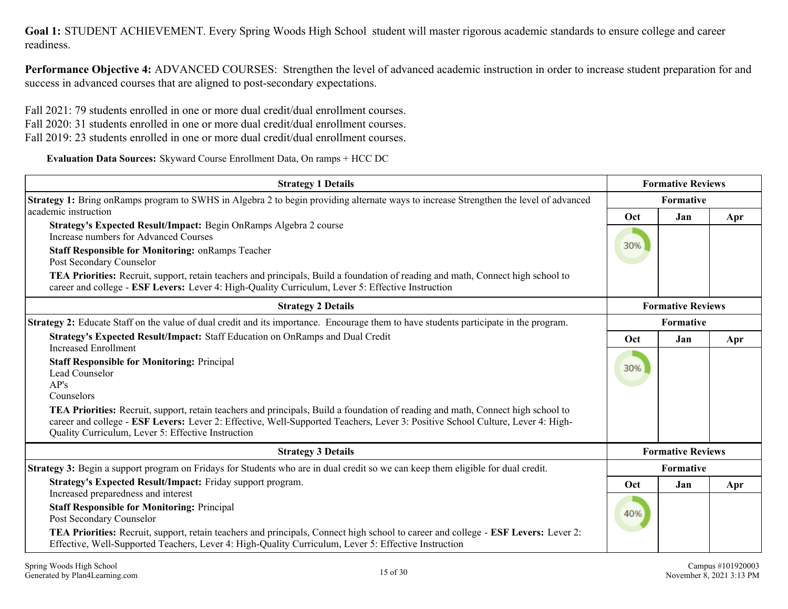**Performance Objective 4:** ADVANCED COURSES: Strengthen the level of advanced academic instruction in order to increase student preparation for and success in advanced courses that are aligned to post-secondary expectations.

Fall 2021: 79 students enrolled in one or more dual credit/dual enrollment courses.

Fall 2020: 31 students enrolled in one or more dual credit/dual enrollment courses.

Fall 2019: 23 students enrolled in one or more dual credit/dual enrollment courses.

**Evaluation Data Sources:** Skyward Course Enrollment Data, On ramps + HCC DC

| <b>Strategy 1 Details</b>                                                                                                                                                                                                                                                                                                | <b>Formative Reviews</b> |                          |     |
|--------------------------------------------------------------------------------------------------------------------------------------------------------------------------------------------------------------------------------------------------------------------------------------------------------------------------|--------------------------|--------------------------|-----|
| Strategy 1: Bring onRamps program to SWHS in Algebra 2 to begin providing alternate ways to increase Strengthen the level of advanced                                                                                                                                                                                    | <b>Formative</b>         |                          |     |
| academic instruction                                                                                                                                                                                                                                                                                                     | Oct                      | Jan                      | Apr |
| Strategy's Expected Result/Impact: Begin OnRamps Algebra 2 course<br>Increase numbers for Advanced Courses                                                                                                                                                                                                               | 30%                      |                          |     |
| <b>Staff Responsible for Monitoring: on Ramps Teacher</b><br>Post Secondary Counselor                                                                                                                                                                                                                                    |                          |                          |     |
| TEA Priorities: Recruit, support, retain teachers and principals, Build a foundation of reading and math, Connect high school to<br>career and college - ESF Levers: Lever 4: High-Quality Curriculum, Lever 5: Effective Instruction                                                                                    |                          |                          |     |
| <b>Strategy 2 Details</b>                                                                                                                                                                                                                                                                                                |                          | <b>Formative Reviews</b> |     |
| <b>Strategy 2:</b> Educate Staff on the value of dual credit and its importance. Encourage them to have students participate in the program.                                                                                                                                                                             |                          |                          |     |
| Strategy's Expected Result/Impact: Staff Education on OnRamps and Dual Credit<br><b>Increased Enrollment</b>                                                                                                                                                                                                             | Oct                      | Jan                      | Apr |
| <b>Staff Responsible for Monitoring: Principal</b>                                                                                                                                                                                                                                                                       | 30%                      |                          |     |
| Lead Counselor<br>AP's                                                                                                                                                                                                                                                                                                   |                          |                          |     |
| Counselors                                                                                                                                                                                                                                                                                                               |                          |                          |     |
| TEA Priorities: Recruit, support, retain teachers and principals, Build a foundation of reading and math, Connect high school to<br>career and college - ESF Levers: Lever 2: Effective, Well-Supported Teachers, Lever 3: Positive School Culture, Lever 4: High-<br>Quality Curriculum, Lever 5: Effective Instruction |                          |                          |     |
| <b>Strategy 3 Details</b>                                                                                                                                                                                                                                                                                                |                          | <b>Formative Reviews</b> |     |
| Strategy 3: Begin a support program on Fridays for Students who are in dual credit so we can keep them eligible for dual credit.                                                                                                                                                                                         | <b>Formative</b>         |                          |     |
| Strategy's Expected Result/Impact: Friday support program.<br>Increased preparedness and interest                                                                                                                                                                                                                        | Oct                      | Jan                      | Apr |
| <b>Staff Responsible for Monitoring: Principal</b><br>Post Secondary Counselor                                                                                                                                                                                                                                           | 40%                      |                          |     |
| TEA Priorities: Recruit, support, retain teachers and principals, Connect high school to career and college - ESF Levers: Lever 2:<br>Effective, Well-Supported Teachers, Lever 4: High-Quality Curriculum, Lever 5: Effective Instruction                                                                               |                          |                          |     |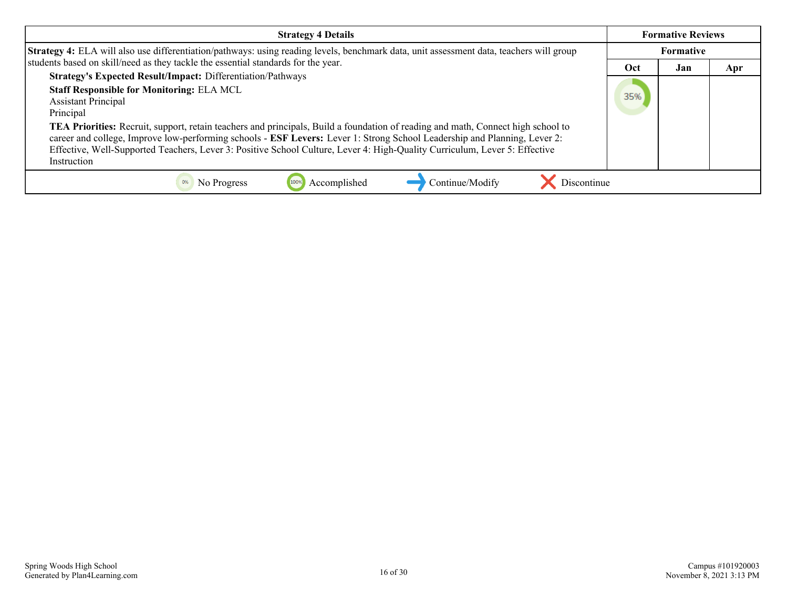| <b>Strategy 4 Details</b>                                                                                                                                                                                                                                                                                                                                                                                                                                                                                                                                                              |           | <b>Formative Reviews</b> |     |
|----------------------------------------------------------------------------------------------------------------------------------------------------------------------------------------------------------------------------------------------------------------------------------------------------------------------------------------------------------------------------------------------------------------------------------------------------------------------------------------------------------------------------------------------------------------------------------------|-----------|--------------------------|-----|
| Strategy 4: ELA will also use differentiation/pathways: using reading levels, benchmark data, unit assessment data, teachers will group                                                                                                                                                                                                                                                                                                                                                                                                                                                | Formative |                          |     |
| students based on skill/need as they tackle the essential standards for the year.                                                                                                                                                                                                                                                                                                                                                                                                                                                                                                      | Oct       | Jan                      | Apr |
| <b>Strategy's Expected Result/Impact: Differentiation/Pathways</b><br><b>Staff Responsible for Monitoring: ELA MCL</b><br><b>Assistant Principal</b><br>Principal<br><b>TEA Priorities:</b> Recruit, support, retain teachers and principals, Build a foundation of reading and math, Connect high school to<br>career and college, Improve low-performing schools - ESF Levers: Lever 1: Strong School Leadership and Planning, Lever 2:<br>Effective, Well-Supported Teachers, Lever 3: Positive School Culture, Lever 4: High-Quality Curriculum, Lever 5: Effective<br>Instruction | 35%       |                          |     |
| 100%<br>Continue/Modify<br>No Progress<br>Discontinue<br>Accomplished                                                                                                                                                                                                                                                                                                                                                                                                                                                                                                                  |           |                          |     |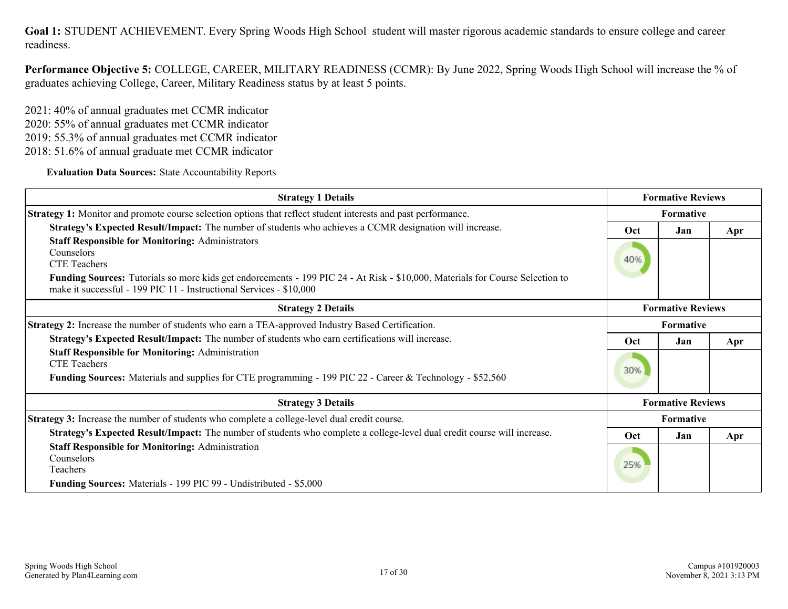**Performance Objective 5:** COLLEGE, CAREER, MILITARY READINESS (CCMR): By June 2022, Spring Woods High School will increase the % of graduates achieving College, Career, Military Readiness status by at least 5 points.

2021: 40% of annual graduates met CCMR indicator 2020: 55% of annual graduates met CCMR indicator 2019: 55.3% of annual graduates met CCMR indicator 2018: 51.6% of annual graduate met CCMR indicator

**Evaluation Data Sources:** State Accountability Reports

| <b>Strategy 1 Details</b>                                                                                                                                                                            |                  | <b>Formative Reviews</b> |     |
|------------------------------------------------------------------------------------------------------------------------------------------------------------------------------------------------------|------------------|--------------------------|-----|
| <b>Strategy 1:</b> Monitor and promote course selection options that reflect student interests and past performance.                                                                                 | <b>Formative</b> |                          |     |
| Strategy's Expected Result/Impact: The number of students who achieves a CCMR designation will increase.                                                                                             | Oct<br>Jan       |                          | Apr |
| <b>Staff Responsible for Monitoring: Administrators</b><br>Counselors<br><b>CTE</b> Teachers                                                                                                         | 40%              |                          |     |
| Funding Sources: Tutorials so more kids get endorcements - 199 PIC 24 - At Risk - \$10,000, Materials for Course Selection to<br>make it successful - 199 PIC 11 - Instructional Services - \$10,000 |                  |                          |     |
| <b>Strategy 2 Details</b>                                                                                                                                                                            |                  | <b>Formative Reviews</b> |     |
| Strategy 2: Increase the number of students who earn a TEA-approved Industry Based Certification.                                                                                                    | Formative        |                          |     |
| Strategy's Expected Result/Impact: The number of students who earn certifications will increase.                                                                                                     | <b>Oct</b>       | Jan                      | Apr |
| <b>Staff Responsible for Monitoring: Administration</b><br><b>CTE Teachers</b><br>Funding Sources: Materials and supplies for CTE programming - 199 PIC 22 - Career & Technology - \$52,560          | 30%              |                          |     |
| <b>Strategy 3 Details</b>                                                                                                                                                                            |                  | <b>Formative Reviews</b> |     |
| Strategy 3: Increase the number of students who complete a college-level dual credit course.                                                                                                         | <b>Formative</b> |                          |     |
| Strategy's Expected Result/Impact: The number of students who complete a college-level dual credit course will increase.                                                                             | <b>Oct</b>       | Jan                      | Apr |
| <b>Staff Responsible for Monitoring: Administration</b><br>Counselors<br><b>Teachers</b><br><b>Funding Sources:</b> Materials - 199 PIC 99 - Undistributed - \$5,000                                 | 25%              |                          |     |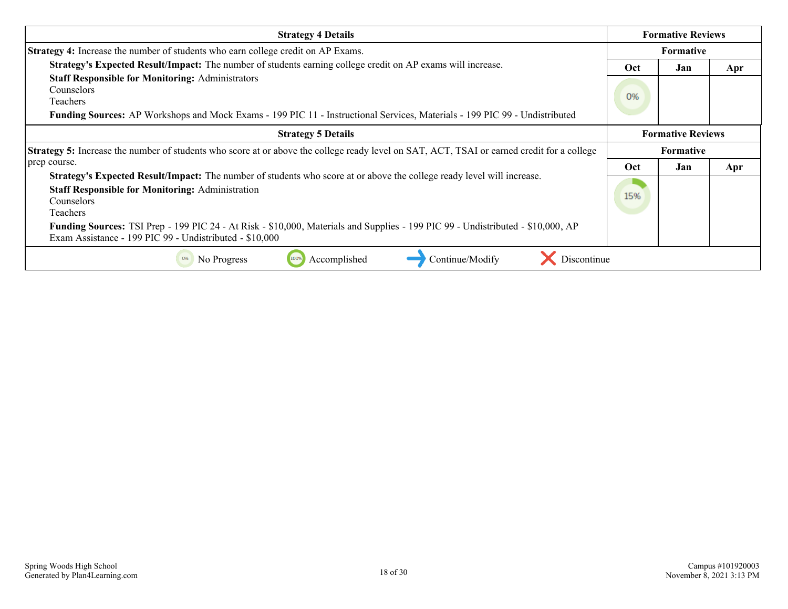| <b>Strategy 4 Details</b>                                                                                                                                                                                          | <b>Formative Reviews</b> |                          |     |
|--------------------------------------------------------------------------------------------------------------------------------------------------------------------------------------------------------------------|--------------------------|--------------------------|-----|
| <b>Strategy 4:</b> Increase the number of students who earn college credit on AP Exams.                                                                                                                            |                          | <b>Formative</b>         |     |
| Strategy's Expected Result/Impact: The number of students earning college credit on AP exams will increase.                                                                                                        | Oct                      | Jan                      | Apr |
| <b>Staff Responsible for Monitoring: Administrators</b><br>Counselors<br>Teachers<br>Funding Sources: AP Workshops and Mock Exams - 199 PIC 11 - Instructional Services, Materials - 199 PIC 99 - Undistributed    | 0%                       |                          |     |
| <b>Strategy 5 Details</b>                                                                                                                                                                                          |                          | <b>Formative Reviews</b> |     |
| <b>Strategy 5:</b> Increase the number of students who score at or above the college ready level on SAT, ACT, TSAI or earned credit for a college                                                                  |                          | <b>Formative</b>         |     |
| prep course.                                                                                                                                                                                                       | Oct                      | Jan                      | Apr |
| <b>Strategy's Expected Result/Impact:</b> The number of students who score at or above the college ready level will increase.<br><b>Staff Responsible for Monitoring: Administration</b><br>Counselors<br>Teachers | 15%                      |                          |     |
| Funding Sources: TSI Prep - 199 PIC 24 - At Risk - \$10,000, Materials and Supplies - 199 PIC 99 - Undistributed - \$10,000, AP<br>Exam Assistance - 199 PIC 99 - Undistributed - \$10,000                         |                          |                          |     |
| Continue/Modify<br>Discontinue<br>Accomplished<br>No Progress<br>100%                                                                                                                                              |                          |                          |     |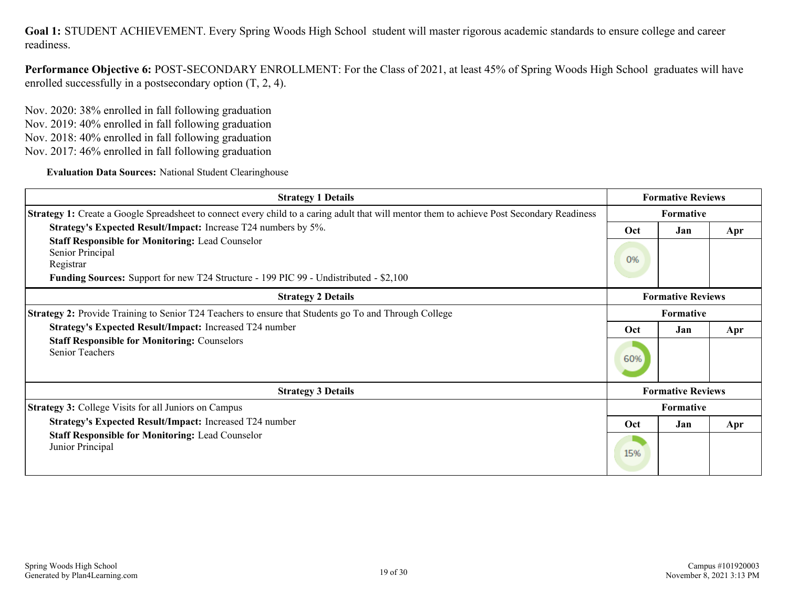**Performance Objective 6:** POST-SECONDARY ENROLLMENT: For the Class of 2021, at least 45% of Spring Woods High School graduates will have enrolled successfully in a postsecondary option (T, 2, 4).

Nov. 2020: 38% enrolled in fall following graduation Nov. 2019: 40% enrolled in fall following graduation Nov. 2018: 40% enrolled in fall following graduation Nov. 2017: 46% enrolled in fall following graduation

**Evaluation Data Sources:** National Student Clearinghouse

| <b>Strategy 1 Details</b>                                                                                                                         |                          | <b>Formative Reviews</b> |     |
|---------------------------------------------------------------------------------------------------------------------------------------------------|--------------------------|--------------------------|-----|
| <b>Strategy 1:</b> Create a Google Spreadsheet to connect every child to a caring adult that will mentor them to achieve Post Secondary Readiness |                          | <b>Formative</b>         |     |
| Strategy's Expected Result/Impact: Increase T24 numbers by 5%.                                                                                    | Oct                      | Jan                      | Apr |
| <b>Staff Responsible for Monitoring: Lead Counselor</b><br>Senior Principal<br>Registrar                                                          | 0%                       |                          |     |
| <b>Funding Sources:</b> Support for new T24 Structure - 199 PIC 99 - Undistributed - \$2,100                                                      |                          |                          |     |
| <b>Strategy 2 Details</b>                                                                                                                         | <b>Formative Reviews</b> |                          |     |
| Strategy 2: Provide Training to Senior T24 Teachers to ensure that Students go To and Through College                                             | Formative                |                          |     |
| Strategy's Expected Result/Impact: Increased T24 number                                                                                           | Oct                      | Jan                      | Apr |
| <b>Staff Responsible for Monitoring: Counselors</b><br><b>Senior Teachers</b>                                                                     | 60%                      |                          |     |
| <b>Strategy 3 Details</b>                                                                                                                         |                          | <b>Formative Reviews</b> |     |
| <b>Strategy 3:</b> College Visits for all Juniors on Campus                                                                                       |                          | <b>Formative</b>         |     |
| Strategy's Expected Result/Impact: Increased T24 number                                                                                           | Oct                      | Jan                      | Apr |
| <b>Staff Responsible for Monitoring: Lead Counselor</b><br>Junior Principal                                                                       | 15%                      |                          |     |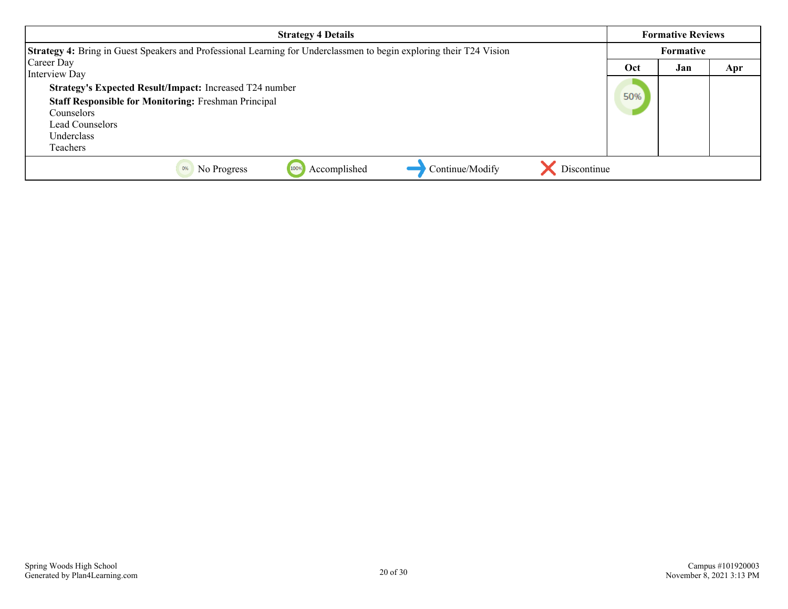| <b>Strategy 4 Details</b>                                                                                                                                                                                 | <b>Formative Reviews</b> |                  |     |  |
|-----------------------------------------------------------------------------------------------------------------------------------------------------------------------------------------------------------|--------------------------|------------------|-----|--|
| Strategy 4: Bring in Guest Speakers and Professional Learning for Underclassmen to begin exploring their T24 Vision                                                                                       |                          | <b>Formative</b> |     |  |
| Career Day                                                                                                                                                                                                | Oct                      | Jan              | Apr |  |
| Interview Day<br><b>Strategy's Expected Result/Impact:</b> Increased T24 number<br><b>Staff Responsible for Monitoring: Freshman Principal</b><br>Counselors<br>Lead Counselors<br>Underclass<br>Teachers | 50%                      |                  |     |  |
| Discontinue<br>Continue/Modify<br>Accomplished<br>No Progress<br>100%<br>0%                                                                                                                               |                          |                  |     |  |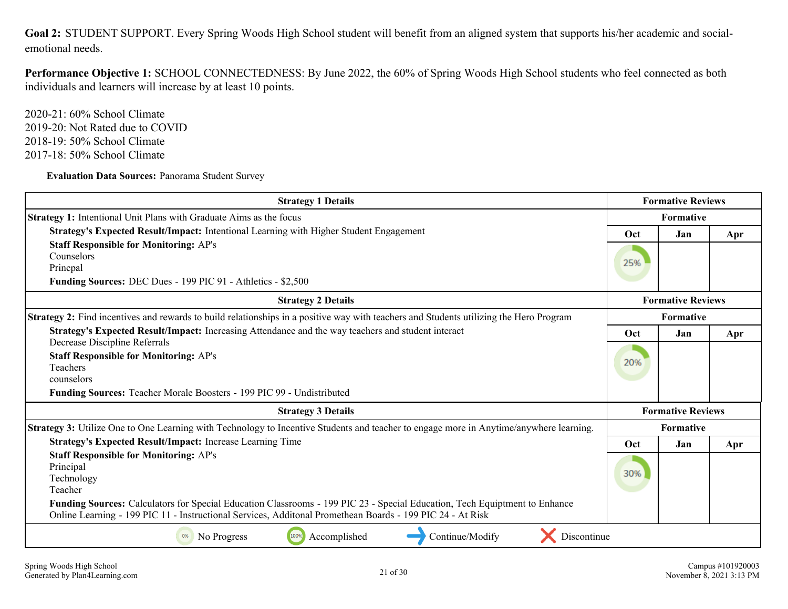<span id="page-20-0"></span>Goal 2: STUDENT SUPPORT. Every Spring Woods High School student will benefit from an aligned system that supports his/her academic and socialemotional needs.

**Performance Objective 1:** SCHOOL CONNECTEDNESS: By June 2022, the 60% of Spring Woods High School students who feel connected as both individuals and learners will increase by at least 10 points.

2020-21: 60% School Climate 2019-20: Not Rated due to COVID 2018-19: 50% School Climate 2017-18: 50% School Climate

**Evaluation Data Sources:** Panorama Student Survey

| <b>Strategy 1 Details</b>                                                                                                                                                                                                               |                  | <b>Formative Reviews</b> |     |
|-----------------------------------------------------------------------------------------------------------------------------------------------------------------------------------------------------------------------------------------|------------------|--------------------------|-----|
| <b>Strategy 1:</b> Intentional Unit Plans with Graduate Aims as the focus                                                                                                                                                               | Formative        |                          |     |
| Strategy's Expected Result/Impact: Intentional Learning with Higher Student Engagement                                                                                                                                                  | Oct              | Jan                      | Apr |
| <b>Staff Responsible for Monitoring: AP's</b><br>Counselors<br>Princpal<br>Funding Sources: DEC Dues - 199 PIC 91 - Athletics - \$2,500                                                                                                 | 25%              |                          |     |
| <b>Strategy 2 Details</b>                                                                                                                                                                                                               |                  | <b>Formative Reviews</b> |     |
| Strategy 2: Find incentives and rewards to build relationships in a positive way with teachers and Students utilizing the Hero Program                                                                                                  | <b>Formative</b> |                          |     |
| Strategy's Expected Result/Impact: Increasing Attendance and the way teachers and student interact<br>Decrease Discipline Referrals                                                                                                     | Oct              | Jan                      | Apr |
| <b>Staff Responsible for Monitoring: AP's</b><br>Teachers<br>counselors                                                                                                                                                                 | 20%              |                          |     |
| Funding Sources: Teacher Morale Boosters - 199 PIC 99 - Undistributed                                                                                                                                                                   |                  | <b>Formative Reviews</b> |     |
| <b>Strategy 3 Details</b>                                                                                                                                                                                                               |                  |                          |     |
| Strategy 3: Utilize One to One Learning with Technology to Incentive Students and teacher to engage more in Anytime/anywhere learning.                                                                                                  |                  | <b>Formative</b>         |     |
| Strategy's Expected Result/Impact: Increase Learning Time                                                                                                                                                                               | <b>Oct</b>       | Jan                      | Apr |
| <b>Staff Responsible for Monitoring: AP's</b><br>Principal<br>Technology<br>Teacher                                                                                                                                                     | 30%              |                          |     |
| Funding Sources: Calculators for Special Education Classrooms - 199 PIC 23 - Special Education, Tech Equiptment to Enhance<br>Online Learning - 199 PIC 11 - Instructional Services, Additonal Promethean Boards - 199 PIC 24 - At Risk |                  |                          |     |
| Discontinue<br>100%<br>Accomplished<br>Continue/Modify<br>0%<br>No Progress                                                                                                                                                             |                  |                          |     |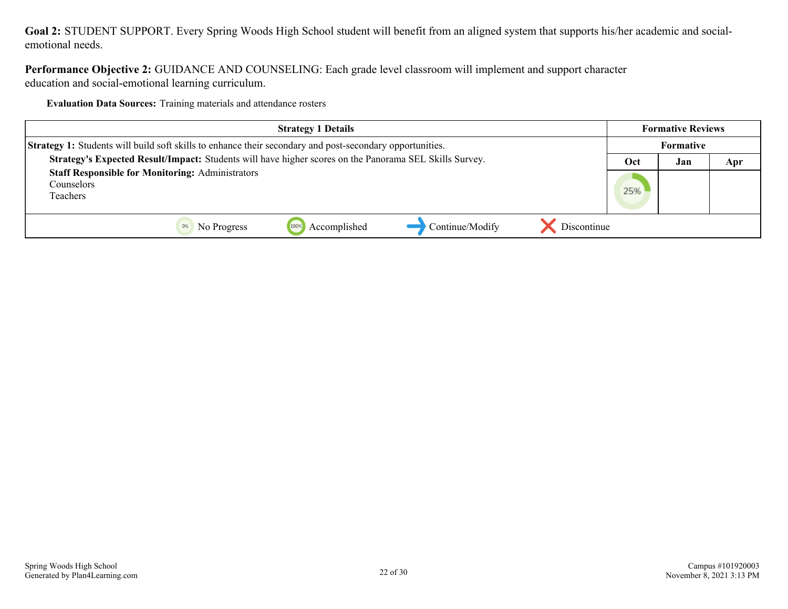**Goal 2:** STUDENT SUPPORT. Every Spring Woods High School student will benefit from an aligned system that supports his/her academic and socialemotional needs.

**Performance Objective 2:** GUIDANCE AND COUNSELING: Each grade level classroom will implement and support character education and social-emotional learning curriculum.

**Evaluation Data Sources:** Training materials and attendance rosters

| <b>Strategy 1 Details</b>                                                                                       | <b>Formative Reviews</b> |     |     |
|-----------------------------------------------------------------------------------------------------------------|--------------------------|-----|-----|
| <b>Strategy 1:</b> Students will build soft skills to enhance their secondary and post-secondary opportunities. | <b>Formative</b>         |     |     |
| Strategy's Expected Result/Impact: Students will have higher scores on the Panorama SEL Skills Survey.          | Oct                      | Jan | Apr |
| <b>Staff Responsible for Monitoring: Administrators</b>                                                         |                          |     |     |
| Counselors                                                                                                      | 25%                      |     |     |
| Teachers                                                                                                        |                          |     |     |
|                                                                                                                 |                          |     |     |
| Continue/Modify<br>1009<br>Accomplished<br>Discontinue<br>No Progress                                           |                          |     |     |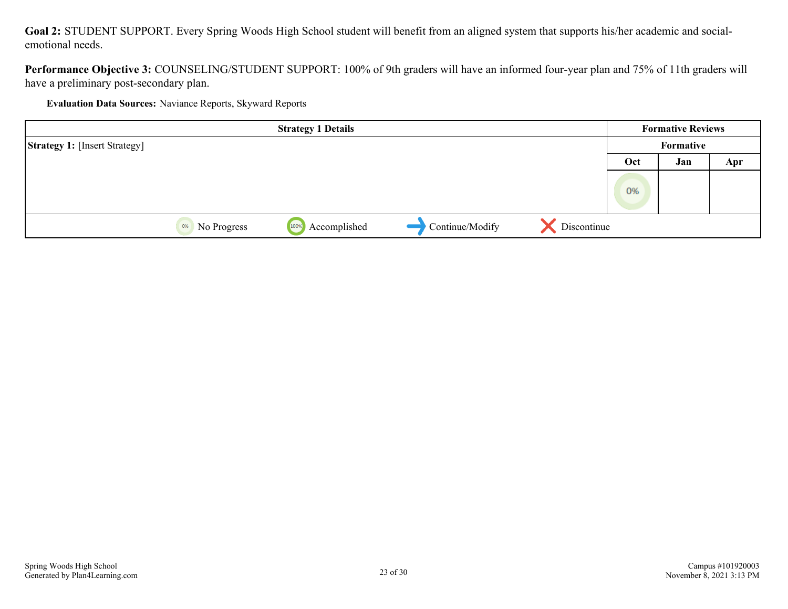**Goal 2:** STUDENT SUPPORT. Every Spring Woods High School student will benefit from an aligned system that supports his/her academic and socialemotional needs.

**Performance Objective 3:** COUNSELING/STUDENT SUPPORT: 100% of 9th graders will have an informed four-year plan and 75% of 11th graders will have a preliminary post-secondary plan.

**Evaluation Data Sources:** Naviance Reports, Skyward Reports

|                                      |                   | <b>Strategy 1 Details</b> |                 |             |     | <b>Formative Reviews</b> |     |
|--------------------------------------|-------------------|---------------------------|-----------------|-------------|-----|--------------------------|-----|
| <b>Strategy 1:</b> [Insert Strategy] |                   |                           |                 |             |     | Formative                |     |
|                                      |                   |                           |                 |             | Oct | Jan                      | Apr |
|                                      |                   |                           |                 |             | 0%  |                          |     |
|                                      | No Progress<br>0% | Accomplished<br>100%      | Continue/Modify | Discontinue |     |                          |     |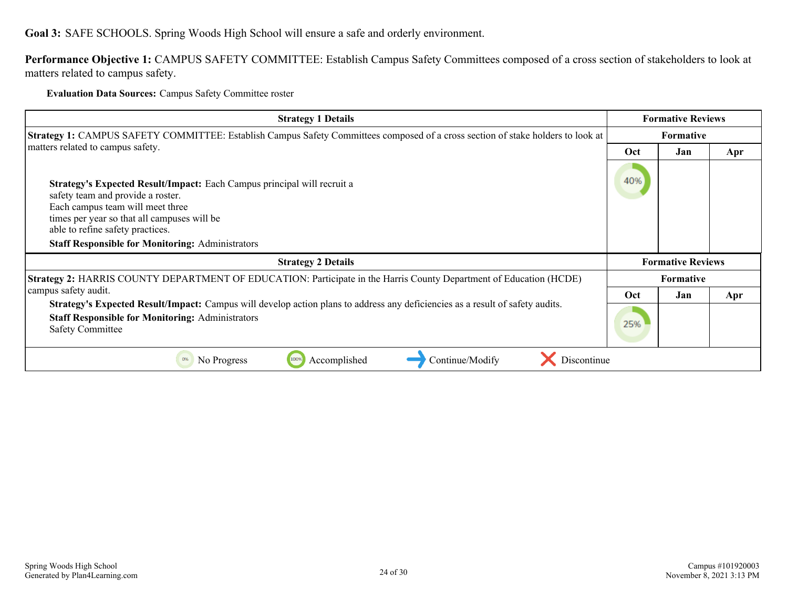## <span id="page-23-0"></span>**Goal 3:** SAFE SCHOOLS. Spring Woods High School will ensure a safe and orderly environment.

**Performance Objective 1:** CAMPUS SAFETY COMMITTEE: Establish Campus Safety Committees composed of a cross section of stakeholders to look at matters related to campus safety.

### **Evaluation Data Sources:** Campus Safety Committee roster

| <b>Strategy 1 Details</b>                                                                                                                                                                                                                                                                      | <b>Formative Reviews</b> |                          |     |  |
|------------------------------------------------------------------------------------------------------------------------------------------------------------------------------------------------------------------------------------------------------------------------------------------------|--------------------------|--------------------------|-----|--|
| <b>Strategy 1:</b> CAMPUS SAFETY COMMITTEE: Establish Campus Safety Committees composed of a cross section of stake holders to look at                                                                                                                                                         |                          | <b>Formative</b>         |     |  |
| matters related to campus safety.                                                                                                                                                                                                                                                              | Oct                      | Jan                      | Apr |  |
| Strategy's Expected Result/Impact: Each Campus principal will recruit a<br>safety team and provide a roster.<br>Each campus team will meet three<br>times per year so that all campuses will be<br>able to refine safety practices.<br><b>Staff Responsible for Monitoring: Administrators</b> | 40%                      |                          |     |  |
| <b>Strategy 2 Details</b>                                                                                                                                                                                                                                                                      |                          | <b>Formative Reviews</b> |     |  |
| Strategy 2: HARRIS COUNTY DEPARTMENT OF EDUCATION: Participate in the Harris County Department of Education (HCDE)                                                                                                                                                                             | <b>Formative</b>         |                          |     |  |
| campus safety audit.                                                                                                                                                                                                                                                                           | Oct                      | Jan                      | Apr |  |
| <b>Strategy's Expected Result/Impact:</b> Campus will develop action plans to address any deficiencies as a result of safety audits.<br><b>Staff Responsible for Monitoring: Administrators</b><br><b>Safety Committee</b>                                                                     | 25%                      |                          |     |  |
| No Progress<br>Accomplished<br>Continue/Modify<br>Discontinue<br>0%                                                                                                                                                                                                                            |                          |                          |     |  |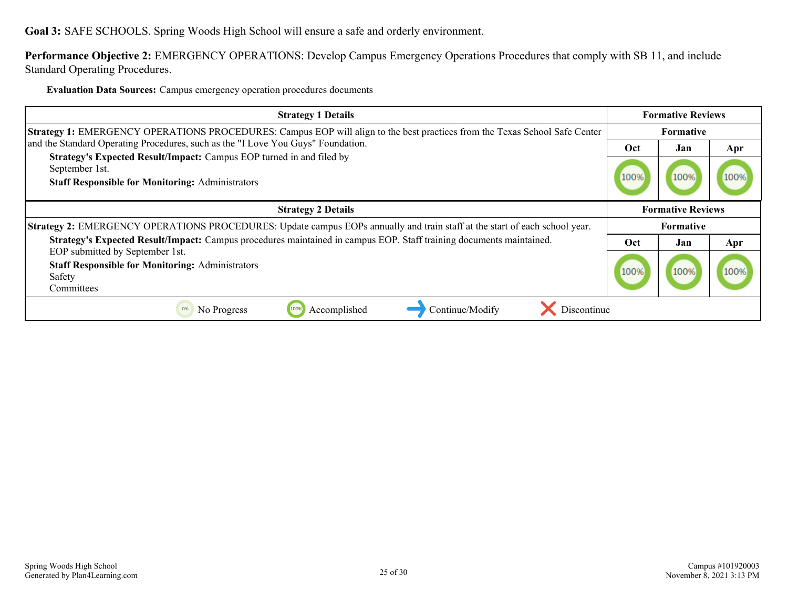**Goal 3:** SAFE SCHOOLS. Spring Woods High School will ensure a safe and orderly environment.

**Performance Objective 2:** EMERGENCY OPERATIONS: Develop Campus Emergency Operations Procedures that comply with SB 11, and include Standard Operating Procedures.

**Evaluation Data Sources:** Campus emergency operation procedures documents

| <b>Strategy 1 Details</b>                                                                                                                         | <b>Formative Reviews</b> |      |     |
|---------------------------------------------------------------------------------------------------------------------------------------------------|--------------------------|------|-----|
| Strategy 1: EMERGENCY OPERATIONS PROCEDURES: Campus EOP will align to the best practices from the Texas School Safe Center                        | <b>Formative</b>         |      |     |
| and the Standard Operating Procedures, such as the "I Love You Guys" Foundation.                                                                  | Oct                      | Jan  | Apr |
| Strategy's Expected Result/Impact: Campus EOP turned in and filed by<br>September 1st.<br><b>Staff Responsible for Monitoring: Administrators</b> | 100%                     | 100% |     |
| <b>Strategy 2 Details</b>                                                                                                                         | <b>Formative Reviews</b> |      |     |
| Strategy 2: EMERGENCY OPERATIONS PROCEDURES: Update campus EOPs annually and train staff at the start of each school year.                        | <b>Formative</b>         |      |     |
| Strategy's Expected Result/Impact: Campus procedures maintained in campus EOP. Staff training documents maintained.                               | Oct                      | Jan  | Apr |
| EOP submitted by September 1st.<br><b>Staff Responsible for Monitoring: Administrators</b><br>Safety<br>Committees                                | 100%                     | 100% |     |
| Accomplished<br>0%<br>No Progress<br>100%<br>Continue/Modify<br>Discontinue                                                                       |                          |      |     |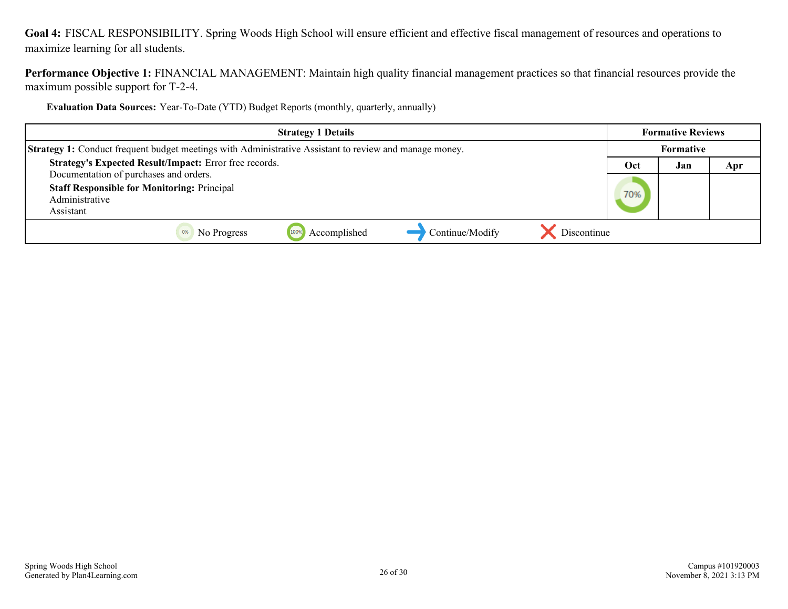<span id="page-25-0"></span>**Goal 4:** FISCAL RESPONSIBILITY. Spring Woods High School will ensure efficient and effective fiscal management of resources and operations to maximize learning for all students.

**Performance Objective 1:** FINANCIAL MANAGEMENT: Maintain high quality financial management practices so that financial resources provide the maximum possible support for T-2-4.

**Evaluation Data Sources:** Year-To-Date (YTD) Budget Reports (monthly, quarterly, annually)

| <b>Strategy 1 Details</b>                                                                                     | <b>Formative Reviews</b>       |     |     |  |
|---------------------------------------------------------------------------------------------------------------|--------------------------------|-----|-----|--|
| <b>Strategy 1:</b> Conduct frequent budget meetings with Administrative Assistant to review and manage money. | <b>Formative</b>               |     |     |  |
| Strategy's Expected Result/Impact: Error free records.                                                        | Oct                            | Jan | Apr |  |
| Documentation of purchases and orders.<br><b>Staff Responsible for Monitoring: Principal</b>                  |                                |     |     |  |
| Administrative                                                                                                | 70%                            |     |     |  |
| Assistant                                                                                                     |                                |     |     |  |
| Accomplished<br>1009<br>No Progress                                                                           | Continue/Modify<br>Discontinue |     |     |  |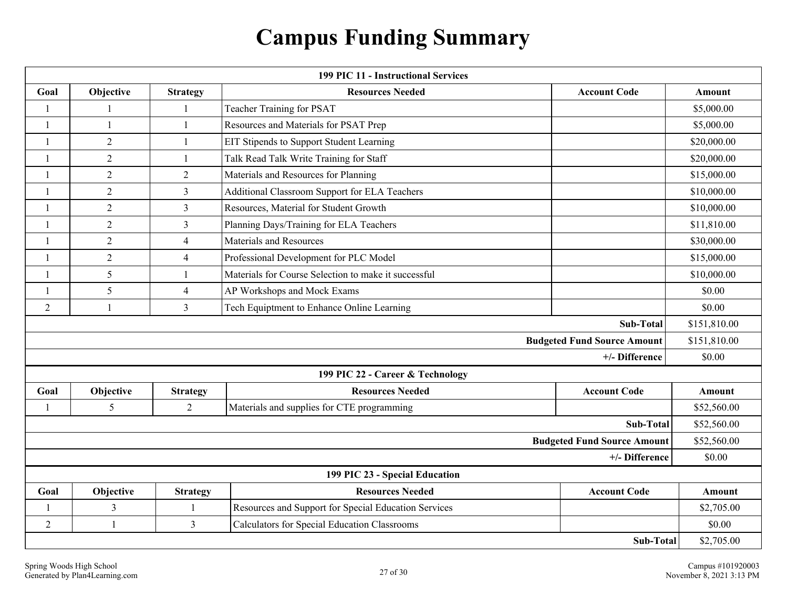# **Campus Funding Summary**

<span id="page-26-0"></span>

| <b>199 PIC 11 - Instructional Services</b> |                |                 |                                                      |                                    |               |  |
|--------------------------------------------|----------------|-----------------|------------------------------------------------------|------------------------------------|---------------|--|
| Goal                                       | Objective      | <b>Strategy</b> | <b>Resources Needed</b>                              | <b>Account Code</b>                | <b>Amount</b> |  |
| $\mathbf{1}$                               | $\mathbf{1}$   | $\mathbf{1}$    | Teacher Training for PSAT                            |                                    | \$5,000.00    |  |
| -1                                         | 1              | -1              | Resources and Materials for PSAT Prep                |                                    | \$5,000.00    |  |
| $\mathbf{1}$                               | $\overline{2}$ | $\mathbf{1}$    | EIT Stipends to Support Student Learning             |                                    | \$20,000.00   |  |
| -1                                         | $\overline{2}$ | $\mathbf{1}$    | Talk Read Talk Write Training for Staff              |                                    | \$20,000.00   |  |
| $\mathbf{1}$                               | $\overline{2}$ | 2               | Materials and Resources for Planning                 |                                    | \$15,000.00   |  |
| $\mathbf{1}$                               | $\overline{2}$ | 3               | Additional Classroom Support for ELA Teachers        |                                    | \$10,000.00   |  |
| $\mathbf{1}$                               | $\overline{2}$ | $\mathfrak{Z}$  | Resources, Material for Student Growth               |                                    | \$10,000.00   |  |
| $\mathbf{1}$                               | $\overline{2}$ | 3               | Planning Days/Training for ELA Teachers              |                                    | \$11,810.00   |  |
| $\mathbf{1}$                               | $\overline{2}$ | $\overline{4}$  | Materials and Resources                              |                                    | \$30,000.00   |  |
| $\mathbf{1}$                               | $\overline{2}$ | $\overline{4}$  | Professional Development for PLC Model               |                                    | \$15,000.00   |  |
| 1                                          | 5              | $\mathbf{1}$    | Materials for Course Selection to make it successful |                                    | \$10,000.00   |  |
| $\mathbf{1}$                               | 5              | $\overline{4}$  | AP Workshops and Mock Exams                          |                                    | \$0.00        |  |
| $\overline{2}$                             | $\mathbf{1}$   | $\mathfrak{Z}$  | Tech Equiptment to Enhance Online Learning           |                                    | \$0.00        |  |
|                                            |                |                 |                                                      | Sub-Total                          | \$151,810.00  |  |
|                                            |                |                 |                                                      | <b>Budgeted Fund Source Amount</b> | \$151,810.00  |  |
|                                            |                |                 |                                                      | +/- Difference                     | \$0.00        |  |
|                                            |                |                 | 199 PIC 22 - Career & Technology                     |                                    |               |  |
| Goal                                       | Objective      | <b>Strategy</b> | <b>Resources Needed</b>                              | <b>Account Code</b>                | Amount        |  |
| $\mathbf{1}$                               | 5              | $\overline{2}$  | Materials and supplies for CTE programming           |                                    | \$52,560.00   |  |
|                                            |                |                 |                                                      | Sub-Total                          | \$52,560.00   |  |
|                                            |                |                 |                                                      | <b>Budgeted Fund Source Amount</b> | \$52,560.00   |  |
| +/- Difference                             |                |                 |                                                      |                                    | \$0.00        |  |
| 199 PIC 23 - Special Education             |                |                 |                                                      |                                    |               |  |
| Goal                                       | Objective      | <b>Strategy</b> | <b>Resources Needed</b>                              | <b>Account Code</b>                | <b>Amount</b> |  |
| 1                                          | $\mathfrak{Z}$ | 1               | Resources and Support for Special Education Services |                                    | \$2,705.00    |  |
| $\overline{2}$                             | 1              | $\overline{3}$  | <b>Calculators for Special Education Classrooms</b>  |                                    | \$0.00        |  |
| Sub-Total                                  |                |                 |                                                      |                                    | \$2,705.00    |  |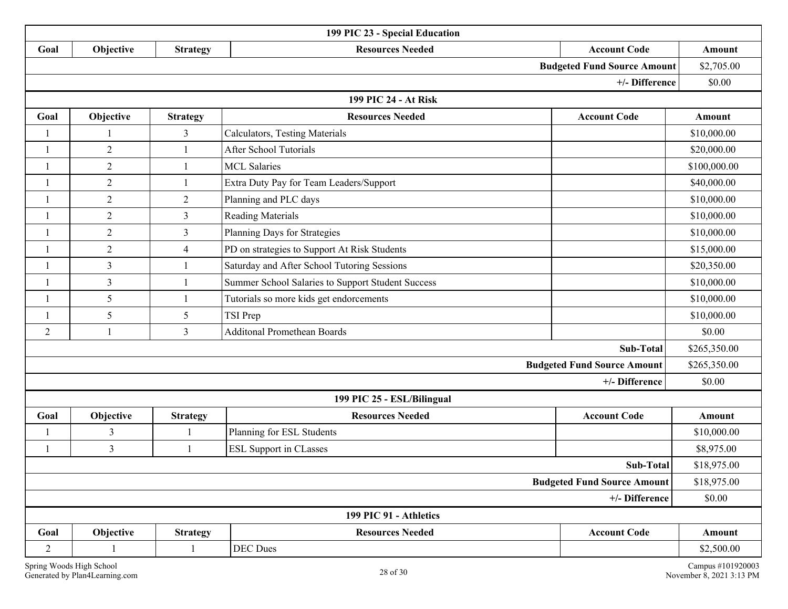| 199 PIC 23 - Special Education     |                      |                 |                                                   |                                    |               |  |  |  |
|------------------------------------|----------------------|-----------------|---------------------------------------------------|------------------------------------|---------------|--|--|--|
| Goal                               | Objective            | <b>Strategy</b> | <b>Resources Needed</b>                           | <b>Account Code</b>                | Amount        |  |  |  |
| <b>Budgeted Fund Source Amount</b> |                      |                 |                                                   |                                    | \$2,705.00    |  |  |  |
| +/- Difference                     |                      |                 |                                                   |                                    | \$0.00        |  |  |  |
|                                    | 199 PIC 24 - At Risk |                 |                                                   |                                    |               |  |  |  |
| Goal                               | Objective            | <b>Strategy</b> | <b>Resources Needed</b>                           | <b>Account Code</b>                | Amount        |  |  |  |
| 1                                  | $\mathbf{1}$         | $\mathfrak{Z}$  | Calculators, Testing Materials                    |                                    | \$10,000.00   |  |  |  |
| $\overline{1}$                     | $\overline{2}$       | $\mathbf{1}$    | <b>After School Tutorials</b>                     |                                    | \$20,000.00   |  |  |  |
| 1                                  | 2                    | -1              | <b>MCL Salaries</b>                               |                                    | \$100,000.00  |  |  |  |
| 1                                  | 2                    | $\mathbf{1}$    | Extra Duty Pay for Team Leaders/Support           |                                    | \$40,000.00   |  |  |  |
|                                    | $\overline{2}$       | $\overline{2}$  | Planning and PLC days                             |                                    | \$10,000.00   |  |  |  |
| -1                                 | 2                    | $\mathfrak{Z}$  | <b>Reading Materials</b>                          |                                    | \$10,000.00   |  |  |  |
| $\mathbf{1}$                       | $\overline{2}$       | $\mathfrak{Z}$  | Planning Days for Strategies                      |                                    | \$10,000.00   |  |  |  |
|                                    | $\overline{2}$       | $\overline{4}$  | PD on strategies to Support At Risk Students      |                                    | \$15,000.00   |  |  |  |
| $\mathbf{1}$                       | $\mathfrak{Z}$       | $\mathbf{1}$    | Saturday and After School Tutoring Sessions       |                                    | \$20,350.00   |  |  |  |
| $\overline{1}$                     | $\overline{3}$       | $\mathbf{1}$    | Summer School Salaries to Support Student Success |                                    | \$10,000.00   |  |  |  |
| 1                                  | 5                    | $\mathbf{1}$    | Tutorials so more kids get endorcements           |                                    | \$10,000.00   |  |  |  |
| 1                                  | 5                    | 5               | TSI Prep                                          |                                    | \$10,000.00   |  |  |  |
| $\overline{2}$                     |                      | $\mathfrak{Z}$  | <b>Additonal Promethean Boards</b>                |                                    | \$0.00        |  |  |  |
|                                    |                      |                 |                                                   | Sub-Total                          | \$265,350.00  |  |  |  |
|                                    |                      |                 |                                                   | <b>Budgeted Fund Source Amount</b> | \$265,350.00  |  |  |  |
|                                    |                      |                 |                                                   | +/- Difference                     | \$0.00        |  |  |  |
|                                    |                      |                 | 199 PIC 25 - ESL/Bilingual                        |                                    |               |  |  |  |
| Goal                               | Objective            | <b>Strategy</b> | <b>Resources Needed</b>                           | <b>Account Code</b>                | <b>Amount</b> |  |  |  |
|                                    | 3                    | -1              | Planning for ESL Students                         |                                    | \$10,000.00   |  |  |  |
| $\overline{1}$                     | $\mathfrak{Z}$       | $\mathbf{1}$    | <b>ESL Support in CLasses</b>                     |                                    | \$8,975.00    |  |  |  |
|                                    |                      |                 |                                                   | Sub-Total                          | \$18,975.00   |  |  |  |
| <b>Budgeted Fund Source Amount</b> |                      |                 |                                                   |                                    | \$18,975.00   |  |  |  |
| +/- Difference                     |                      |                 |                                                   |                                    |               |  |  |  |
|                                    |                      |                 | 199 PIC 91 - Athletics                            |                                    |               |  |  |  |
| Goal                               | Objective            | <b>Strategy</b> | <b>Resources Needed</b>                           | <b>Account Code</b>                | Amount        |  |  |  |
| $\overline{2}$                     |                      |                 | DEC Dues                                          |                                    | \$2,500.00    |  |  |  |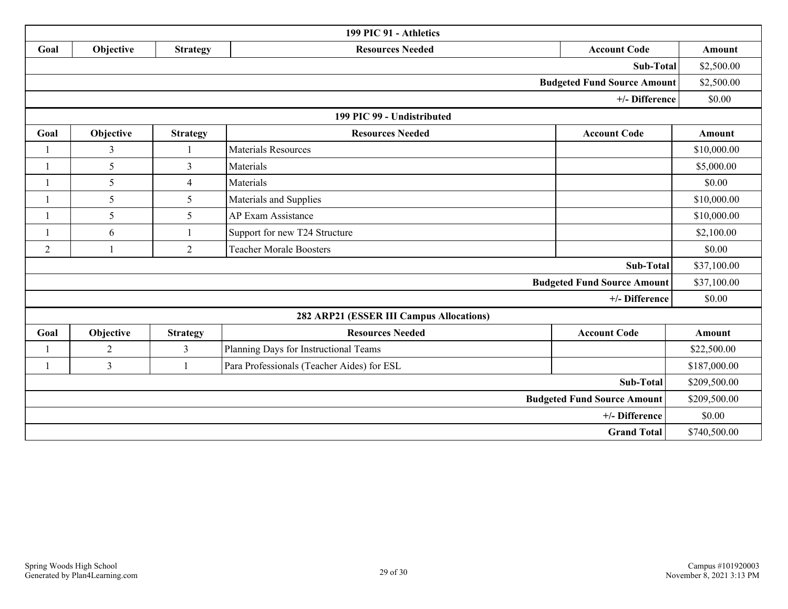| 199 PIC 91 - Athletics             |                |                         |                                            |                                    |              |  |
|------------------------------------|----------------|-------------------------|--------------------------------------------|------------------------------------|--------------|--|
| Goal                               | Objective      | <b>Strategy</b>         | <b>Resources Needed</b>                    | <b>Account Code</b><br>Amount      |              |  |
|                                    |                |                         |                                            | Sub-Total                          | \$2,500.00   |  |
| <b>Budgeted Fund Source Amount</b> |                |                         |                                            |                                    |              |  |
|                                    |                |                         |                                            | +/- Difference                     | \$0.00       |  |
|                                    |                |                         | 199 PIC 99 - Undistributed                 |                                    |              |  |
| Goal                               | Objective      | <b>Strategy</b>         | <b>Resources Needed</b>                    | <b>Account Code</b>                | Amount       |  |
|                                    | $\mathfrak{Z}$ | $\overline{\mathbf{1}}$ | <b>Materials Resources</b>                 |                                    | \$10,000.00  |  |
|                                    | 5              | 3                       | Materials                                  |                                    | \$5,000.00   |  |
|                                    | 5              | $\overline{4}$          | Materials                                  |                                    | \$0.00       |  |
|                                    | 5              | 5                       | Materials and Supplies                     |                                    | \$10,000.00  |  |
|                                    | 5              | 5                       | <b>AP Exam Assistance</b>                  |                                    | \$10,000.00  |  |
|                                    | 6              |                         | Support for new T24 Structure              |                                    | \$2,100.00   |  |
| $\overline{2}$                     |                | $\overline{2}$          | <b>Teacher Morale Boosters</b>             |                                    | \$0.00       |  |
|                                    |                |                         |                                            | Sub-Total                          | \$37,100.00  |  |
|                                    |                |                         |                                            | <b>Budgeted Fund Source Amount</b> | \$37,100.00  |  |
|                                    |                |                         |                                            | +/- Difference                     | \$0.00       |  |
|                                    |                |                         | 282 ARP21 (ESSER III Campus Allocations)   |                                    |              |  |
| Goal                               | Objective      | <b>Strategy</b>         | <b>Resources Needed</b>                    | <b>Account Code</b>                | Amount       |  |
|                                    | $\overline{2}$ | 3                       | Planning Days for Instructional Teams      |                                    | \$22,500.00  |  |
|                                    | $\overline{3}$ | $\mathbf{1}$            | Para Professionals (Teacher Aides) for ESL |                                    | \$187,000.00 |  |
| <b>Sub-Total</b>                   |                |                         |                                            |                                    | \$209,500.00 |  |
| <b>Budgeted Fund Source Amount</b> |                |                         |                                            |                                    | \$209,500.00 |  |
| +/- Difference                     |                |                         |                                            |                                    | \$0.00       |  |
| <b>Grand Total</b>                 |                |                         |                                            |                                    | \$740,500.00 |  |